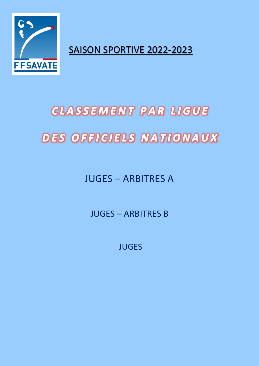

SAISON SPORTIVE 2022-2023

## **CLASSEMENT PAR LIGUE DES OFFICIELS NATIONAUX**

JUGES – ARBITRES A

JUGES – ARBITRES B

JUGES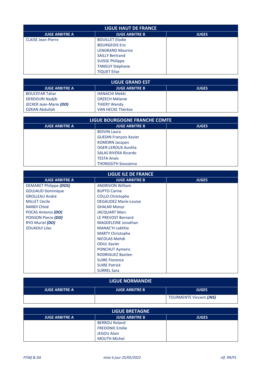| <b>LIGUE HAUT DE FRANCE</b> |                         |              |
|-----------------------------|-------------------------|--------------|
| <b>JUGE ARBITRE A</b>       | <b>JUGE ARBITRE B</b>   | <b>JUGES</b> |
| <b>CLAISE Jean-Pierre</b>   | <b>BOUILLET Elodie</b>  |              |
|                             | <b>BOURGEOIS Eric</b>   |              |
|                             | <b>LENGRAND Maurice</b> |              |
|                             | <b>SAILLY Bertrand</b>  |              |
|                             | <b>SUISSE Philippe</b>  |              |
|                             | <b>TANGUY Stéphane</b>  |              |
|                             | <b>TIQUET Elise</b>     |              |

| LIGUE GRAND EST        |                       |              |
|------------------------|-----------------------|--------------|
| <b>JUGE ARBITRE A</b>  | <b>JUGE ARBITRE B</b> | <b>JUGES</b> |
| <b>BOUCEFAR Tahar</b>  | <b>HANACHI Mekki</b>  |              |
| <b>DERDOURI Nadjib</b> | <b>ORZECH Mélanie</b> |              |
| JECKER Jean-Marie (DO) | <b>THIERY Wendy</b>   |              |
| OZKAN Abdullah         | VAN HECKE Thérèse     |              |

| LIGUE BOURGOGNE FRANCHE COMTE |                               |              |
|-------------------------------|-------------------------------|--------------|
| <b>JUGE ARBITRE A</b>         | <b>JUGE ARBITRE B</b>         | <b>JUGES</b> |
|                               | <b>BOIVIN Laura</b>           |              |
|                               | <b>GUEDIN François Xavier</b> |              |
|                               | <b>KOMORN Jacques</b>         |              |
|                               | OGER-LEROUX Aurélia           |              |
|                               | <b>SALAS RIVERA Ricardo</b>   |              |
|                               | <b>TESTA Anaïs</b>            |              |
|                               | <b>THONGSITH Souvanno</b>     |              |

| <b>LIGUE ILE DE FRANCE</b> |                              |              |
|----------------------------|------------------------------|--------------|
| <b>JUGE ARBITRE A</b>      | <b>JUGE ARBITRE B</b>        | <b>JUGES</b> |
| DEMARET Philippe (DOS)     | <b>ANDRIVON William</b>      |              |
| <b>GOUJAUD Dominique</b>   | <b>BUPTO Carine</b>          |              |
| <b>GROLLEAU André</b>      | <b>COLLO Christophe</b>      |              |
| <b>MILLET Cécile</b>       | <b>DEGAUDEZ Marie-Louise</b> |              |
| <b>NANDI Chloé</b>         | <b>GHALMI Monyr</b>          |              |
| POCAS Antonio (DO)         | <b>JACQUART Marc</b>         |              |
| POISSON Pierre (DO)        | LE PREVOST Bernard           |              |
| RYO Muriel (DO)            | <b>MAGDELEINE Jonathan</b>   |              |
| <b>ZOUAOUI Lilas</b>       | <b>MANAC'H Laëtitia</b>      |              |
|                            | <b>MARTY Christophe</b>      |              |
|                            | NICOLAS Mehdi                |              |
|                            | <b>ODUL Xavier</b>           |              |
|                            | <b>PONCHUT Aymeric</b>       |              |
|                            | <b>RODRIGUEZ Bastien</b>     |              |
|                            | <b>SUIRE Florence</b>        |              |
|                            | <b>SUIRE Patrick</b>         |              |
|                            | <b>SURREL Sara</b>           |              |

## **LIGUE NORMANDIE**

| <b>JUGE ARBITRE A</b> | <b>JUGE ARBITRE B</b> | <b>JUGES</b>                   |
|-----------------------|-----------------------|--------------------------------|
|                       |                       | <b>TOURMENTE Vincent (JNS)</b> |

| <b>LIGUE BRETAGNE</b> |                        |              |
|-----------------------|------------------------|--------------|
| <b>JUGE ARBITRE A</b> | <b>JUGE ARBITRE B</b>  | <b>JUGES</b> |
|                       | <b>BERROU Roland</b>   |              |
|                       | <b>FREDONIE Emilie</b> |              |
|                       | <b>JEGOU Alain</b>     |              |
|                       | <b>MOUTH Michel</b>    |              |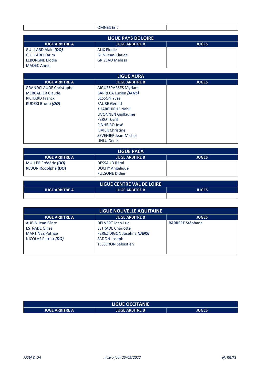| $\mathbf{u}$<br>2HC.<br>______ |  |
|--------------------------------|--|
|                                |  |

| LIGUE PAYS DE LOIRE        |                         |              |
|----------------------------|-------------------------|--------------|
| <b>JUGE ARBITRE A</b>      | <b>JUGE ARBITRE B</b>   | <b>JUGES</b> |
| <b>GUILLARD Alain (DO)</b> | <b>ALIX Elodie</b>      |              |
| <b>GUILLARD Karim</b>      | <b>BLIN Jean-Claude</b> |              |
| <b>LEBORGNE Elodie</b>     | <b>GRIZEAU Mélissa</b>  |              |
| <b>MADEC Annie</b>         |                         |              |

| <b>LIGUE AURA</b>             |                              |              |
|-------------------------------|------------------------------|--------------|
| <b>JUGE ARBITRE A</b>         | <b>JUGE ARBITRE B</b>        | <b>JUGES</b> |
| <b>GRANDCLAUDE Christophe</b> | <b>AIGUESPARSES Myriam</b>   |              |
| <b>MERCADIER Claude</b>       | <b>BARRECA Lucien (JANS)</b> |              |
| <b>RICHARD Franck</b>         | <b>BESSON Yves</b>           |              |
| RUDZKI Bruno (DO)             | <b>FAURE Gérald</b>          |              |
|                               | <b>KHARCHICHE Nabil</b>      |              |
|                               | <b>LIVONNEN Guillaume</b>    |              |
|                               | <b>PEROT Cyril</b>           |              |
|                               | PINHEIRO José                |              |
|                               | <b>RIVIER Christine</b>      |              |
|                               | <b>SEVENIER Jean-Michel</b>  |              |
|                               | <b>UNLU Deniz</b>            |              |

| LIGUE PACA            |                        |              |
|-----------------------|------------------------|--------------|
| <b>JUGE ARBITRE A</b> | <b>JUGE ARBITRE B</b>  | <b>JUGES</b> |
| MULLER Frédéric (DO)  | DESSAUD Rémi           |              |
| REDON Rodolphe (DO)   | <b>DOCHY Angélique</b> |              |
|                       | <b>PULSONE Didier</b>  |              |

| LIGUE CENTRE VAL DE LOIRE |                       |       |
|---------------------------|-----------------------|-------|
| <b>JUGE ARBITRE A</b>     | <b>JUGE ARBITRE B</b> | JUGES |
|                           |                       |       |

| LIGUE NOUVELLE AQUITAINE                                                                           |                                                                                                                                        |                         |
|----------------------------------------------------------------------------------------------------|----------------------------------------------------------------------------------------------------------------------------------------|-------------------------|
| <b>JUGE ARBITRE A</b>                                                                              | <b>JUGE ARBITRE B</b>                                                                                                                  | <b>JUGES</b>            |
| <b>AUBIN Jean-Marc</b><br><b>ESTRADE Gilles</b><br><b>MARTINEZ Patrice</b><br>NICOLAS Patrick (DO) | <b>DELVERT Jean-Luc</b><br><b>ESTRADE Charlotte</b><br>PEREZ DIGON Joséfina (JANS)<br><b>SADON Joseph</b><br><b>TESSERON Sébastien</b> | <b>BARRERE Stéphane</b> |

| <b>LIGUE OCCITANIE</b> |                       |       |
|------------------------|-----------------------|-------|
| <b>JUGE ARBITRE A</b>  | <b>JUGE ARBITRE B</b> | JUGES |